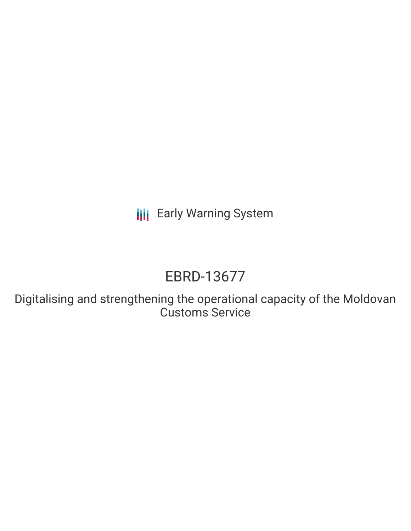**III** Early Warning System

# EBRD-13677

Digitalising and strengthening the operational capacity of the Moldovan Customs Service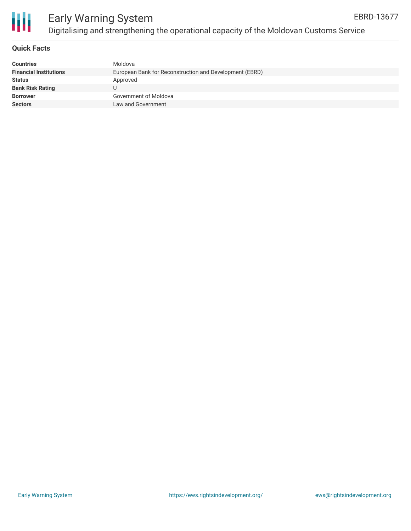

### Early Warning System Digitalising and strengthening the operational capacity of the Moldovan Customs Service

### **Quick Facts**

| <b>Countries</b>              | Moldova                                                 |
|-------------------------------|---------------------------------------------------------|
| <b>Financial Institutions</b> | European Bank for Reconstruction and Development (EBRD) |
| <b>Status</b>                 | Approved                                                |
| <b>Bank Risk Rating</b>       |                                                         |
| <b>Borrower</b>               | Government of Moldova                                   |
| <b>Sectors</b>                | Law and Government                                      |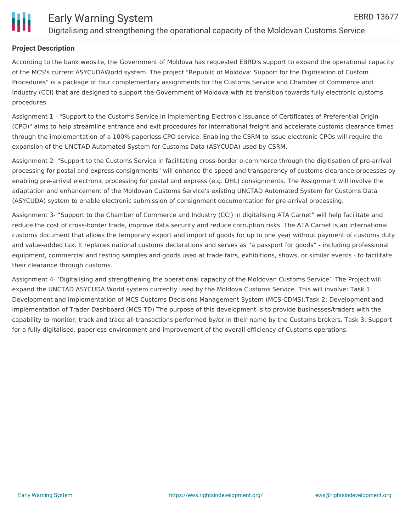

### **Project Description**

According to the bank website, the Government of Moldova has requested EBRD's support to expand the operational capacity of the MCS's current ASYCUDAWorld system. The project "Republic of Moldova: Support for the Digitisation of Custom Procedures" is a package of four complementary assignments for the Customs Service and Chamber of Commerce and Industry (CCI) that are designed to support the Government of Moldova with its transition towards fully electronic customs procedures.

Assignment 1 - "Support to the Customs Service in implementing Electronic issuance of Certificates of Preferential Origin (CPO)" aims to help streamline entrance and exit procedures for international freight and accelerate customs clearance times through the implementation of a 100% paperless CPO service. Enabling the CSRM to issue electronic CPOs will require the expansion of the UNCTAD Automated System for Customs Data (ASYCUDA) used by CSRM.

Assignment 2- "Support to the Customs Service in facilitating cross-border e-commerce through the digitisation of pre-arrival processing for postal and express consignments" will enhance the speed and transparency of customs clearance processes by enabling pre-arrival electronic processing for postal and express (e.g. DHL) consignments. The Assignment will involve the adaptation and enhancement of the Moldovan Customs Service's existing UNCTAD Automated System for Customs Data (ASYCUDA) system to enable electronic submission of consignment documentation for pre-arrival processing.

Assignment 3- "Support to the Chamber of Commerce and Industry (CCI) in digitalising ATA Carnet" will help facilitate and reduce the cost of cross-border trade, improve data security and reduce corruption risks. The ATA Carnet is an international customs document that allows the temporary export and import of goods for up to one year without payment of customs duty and value-added tax. It replaces national customs declarations and serves as "a passport for goods" - including professional equipment, commercial and testing samples and goods used at trade fairs, exhibitions, shows, or similar events - to facilitate their clearance through customs.

Assignment 4- 'Digitalising and strengthening the operational capacity of the Moldovan Customs Service'. The Project will expand the UNCTAD ASYCUDA World system currently used by the Moldova Customs Service. This will involve: Task 1: Development and implementation of MCS Customs Decisions Management System (MCS-CDMS).Task 2: Development and implementation of Trader Dashboard (MCS TD) The purpose of this development is to provide businesses/traders with the capability to monitor, track and trace all transactions performed by/or in their name by the Customs brokers. Task 3: Support for a fully digitalised, paperless environment and improvement of the overall efficiency of Customs operations.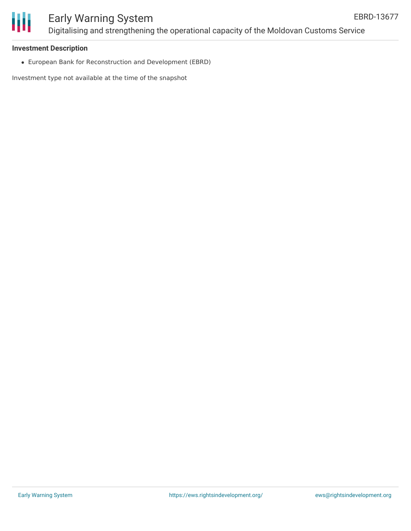

## Early Warning System Digitalising and strengthening the operational capacity of the Moldovan Customs Service

#### **Investment Description**

European Bank for Reconstruction and Development (EBRD)

Investment type not available at the time of the snapshot